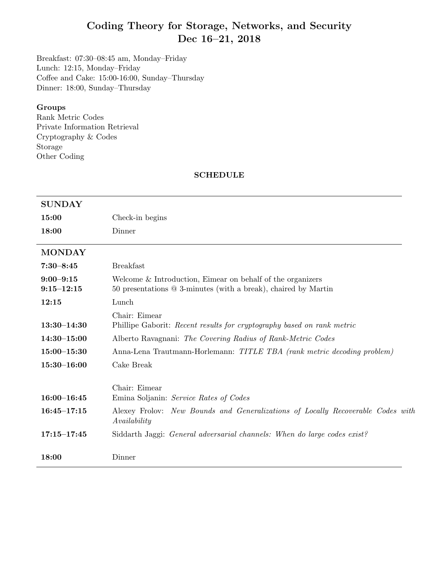# Coding Theory for Storage, Networks, and Security Dec 16–21, 2018

Breakfast: 07:30–08:45 am, Monday–Friday Lunch: 12:15, Monday–Friday Coffee and Cake: 15:00-16:00, Sunday–Thursday Dinner: 18:00, Sunday–Thursday

#### Groups

Rank Metric Codes Private Information Retrieval Cryptography & Codes Storage Other Coding

#### SCHEDULE

| <b>SUNDAY</b>                   |                                                                                                                                |
|---------------------------------|--------------------------------------------------------------------------------------------------------------------------------|
| 15:00                           | Check-in begins                                                                                                                |
| 18:00                           | Dinner                                                                                                                         |
| <b>MONDAY</b>                   |                                                                                                                                |
| $7:30 - 8:45$                   | <b>Breakfast</b>                                                                                                               |
| $9:00 - 9:15$<br>$9:15 - 12:15$ | Welcome $&$ Introduction, Eimear on behalf of the organizers<br>50 presentations @ 3-minutes (with a break), chaired by Martin |
| 12:15                           | Lunch                                                                                                                          |
| $13:30 - 14:30$                 | Chair: Eimear<br>Phillipe Gaborit: Recent results for cryptography based on rank metric                                        |
| $14:30 - 15:00$                 | Alberto Ravagnani: The Covering Radius of Rank-Metric Codes                                                                    |
| $15:00 - 15:30$                 | Anna-Lena Trautmann-Horlemann: TITLE TBA (rank metric decoding problem)                                                        |
| $15:30 - 16:00$                 | Cake Break                                                                                                                     |
| $16:00 - 16:45$                 | Chair: Eimear<br>Emina Soljanin: Service Rates of Codes                                                                        |
| $16:45 - 17:15$                 | Alexey Frolov: New Bounds and Generalizations of Locally Recoverable Codes with<br>Availability                                |
| $17:15 - 17:45$                 | Siddarth Jaggi: General adversarial channels: When do large codes exist?                                                       |
| 18:00                           | Dinner                                                                                                                         |